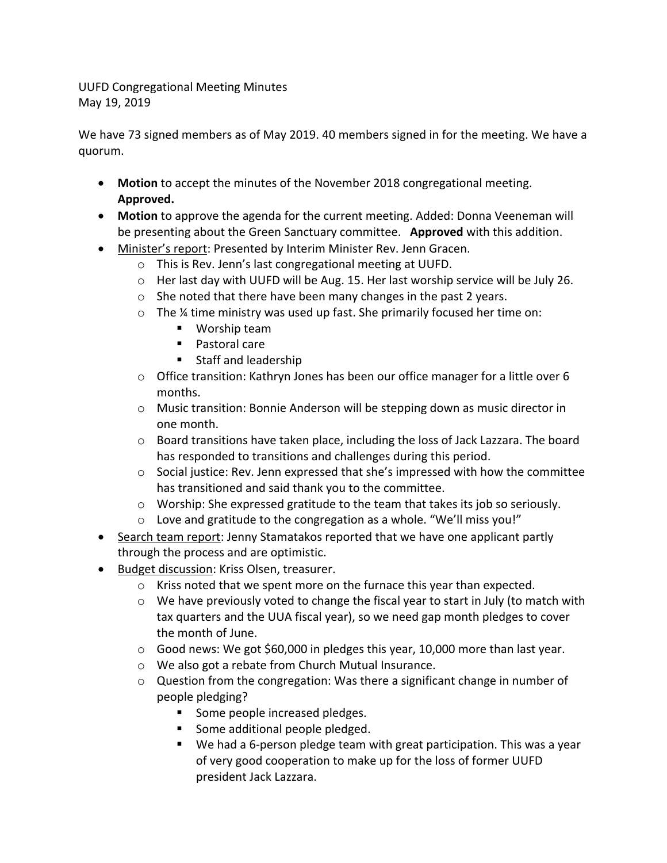UUFD Congregational Meeting Minutes May 19, 2019

We have 73 signed members as of May 2019. 40 members signed in for the meeting. We have a quorum.

- **Motion** to accept the minutes of the November 2018 congregational meeting. **Approved.**
- **Motion** to approve the agenda for the current meeting. Added: Donna Veeneman will be presenting about the Green Sanctuary committee. **Approved** with this addition.
- Minister's report: Presented by Interim Minister Rev. Jenn Gracen.
	- o This is Rev. Jenn's last congregational meeting at UUFD.
	- $\circ$  Her last day with UUFD will be Aug. 15. Her last worship service will be July 26.
	- $\circ$  She noted that there have been many changes in the past 2 years.
	- $\circ$  The % time ministry was used up fast. She primarily focused her time on:
		- Worship team
		- Pastoral care
		- Staff and leadership
	- o Office transition: Kathryn Jones has been our office manager for a little over 6 months.
	- $\circ$  Music transition: Bonnie Anderson will be stepping down as music director in one month.
	- $\circ$  Board transitions have taken place, including the loss of Jack Lazzara. The board has responded to transitions and challenges during this period.
	- $\circ$  Social justice: Rev. Jenn expressed that she's impressed with how the committee has transitioned and said thank you to the committee.
	- $\circ$  Worship: She expressed gratitude to the team that takes its job so seriously.
	- o Love and gratitude to the congregation as a whole. "We'll miss you!"
- Search team report: Jenny Stamatakos reported that we have one applicant partly through the process and are optimistic.
- Budget discussion: Kriss Olsen, treasurer.
	- o Kriss noted that we spent more on the furnace this year than expected.
	- $\circ$  We have previously voted to change the fiscal year to start in July (to match with tax quarters and the UUA fiscal year), so we need gap month pledges to cover the month of June.
	- $\circ$  Good news: We got \$60,000 in pledges this year, 10,000 more than last year.
	- o We also got a rebate from Church Mutual Insurance.
	- $\circ$  Question from the congregation: Was there a significant change in number of people pledging?
		- Some people increased pledges.
		- Some additional people pledged.
		- § We had a 6-person pledge team with great participation. This was a year of very good cooperation to make up for the loss of former UUFD president Jack Lazzara.